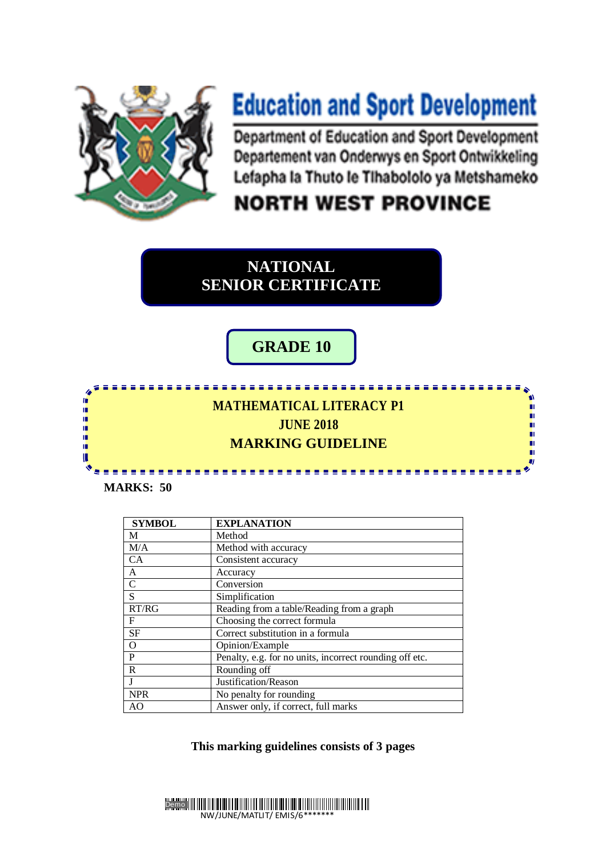

## **Education and Sport Development**

Department of Education and Sport Development Departement van Onderwys en Sport Ontwikkeling Lefapha la Thuto le Tihabololo ya Metshameko

n

'n п

Ù.

пı

'n

m

## **NORTH WEST PROVINCE**

**NATIONAL SENIOR CERTIFICATE**

## **GRADE 10**

## **ONAL** <u> 2222222</u> Iń. **MATHEMATICAL LITERACY P1** ۱<mark>۱</mark> **JUNE 2018**  ú, 庫 **MARKING GUIDELINE**  ú ú

**MARKS: 50**

K

| <b>SYMBOL</b> | <b>EXPLANATION</b>                                      |
|---------------|---------------------------------------------------------|
| M             | Method                                                  |
| M/A           | Method with accuracy                                    |
| <b>CA</b>     | Consistent accuracy                                     |
| A             | Accuracy                                                |
| $\mathsf{C}$  | Conversion                                              |
| S             | Simplification                                          |
| RT/RG         | Reading from a table/Reading from a graph               |
| F             | Choosing the correct formula                            |
| <b>SF</b>     | Correct substitution in a formula                       |
| $\Omega$      | Opinion/Example                                         |
| P             | Penalty, e.g. for no units, incorrect rounding off etc. |
| R             | Rounding off                                            |
|               | Justification/Reason                                    |
| <b>NPR</b>    | No penalty for rounding                                 |
| AO.           | Answer only, if correct, full marks                     |

**This marking guidelines consists of 3 pages** 

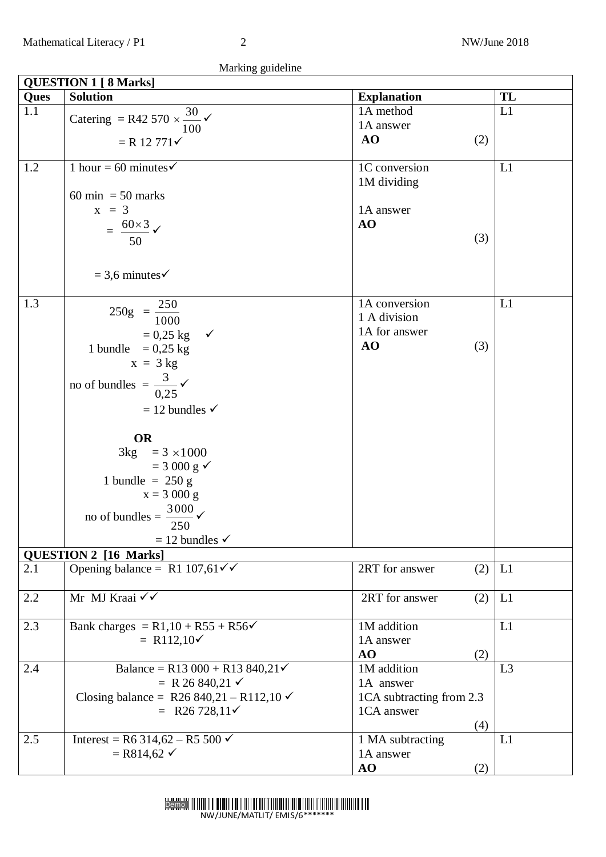Marking guideline

| <b>QUESTION 1 [ 8 Marks]</b> |                                                        |                          |    |  |  |
|------------------------------|--------------------------------------------------------|--------------------------|----|--|--|
| Ques                         | <b>Solution</b>                                        | <b>Explanation</b>       | TL |  |  |
| 1.1                          | Catering = R42 570 $\times \frac{30}{10}$ $\checkmark$ | 1A method                | L1 |  |  |
|                              | 100                                                    | 1A answer                |    |  |  |
|                              | $= R 12 771 \checkmark$                                | AO<br>(2)                |    |  |  |
|                              |                                                        |                          |    |  |  |
| 1.2                          | 1 hour = 60 minutes $\checkmark$                       | 1C conversion            | L1 |  |  |
|                              |                                                        | 1M dividing              |    |  |  |
|                              | $60 \text{ min} = 50 \text{ marks}$                    |                          |    |  |  |
|                              | $x = 3$                                                | 1A answer                |    |  |  |
|                              | $=$ $\frac{60\times3}{50}$ $\checkmark$                | AO                       |    |  |  |
|                              |                                                        | (3)                      |    |  |  |
|                              |                                                        |                          |    |  |  |
|                              | $=$ 3,6 minutes $\checkmark$                           |                          |    |  |  |
|                              |                                                        |                          |    |  |  |
| 1.3                          |                                                        | 1A conversion            | L1 |  |  |
|                              | $250g = \frac{250}{1000}$                              | 1 A division             |    |  |  |
|                              |                                                        | 1A for answer            |    |  |  |
|                              | $= 0.25$ kg $\checkmark$                               | AO<br>(3)                |    |  |  |
|                              | 1 bundle = $0,25$ kg                                   |                          |    |  |  |
|                              | $x = 3 kg$                                             |                          |    |  |  |
|                              | no of bundles = $\frac{3}{0.25}$                       |                          |    |  |  |
|                              |                                                        |                          |    |  |  |
|                              | $= 12$ bundles $\checkmark$                            |                          |    |  |  |
|                              | <b>OR</b>                                              |                          |    |  |  |
|                              | $3kg = 3 \times 1000$                                  |                          |    |  |  |
|                              | $=$ 3 000 g $\checkmark$                               |                          |    |  |  |
|                              | 1 bundle = $250 g$                                     |                          |    |  |  |
|                              | $x = 3000 g$                                           |                          |    |  |  |
|                              |                                                        |                          |    |  |  |
|                              | no of bundles = $\frac{3000}{200}$ $\checkmark$<br>250 |                          |    |  |  |
|                              | $=$ 12 bundles $\checkmark$                            |                          |    |  |  |
|                              | <b>QUESTION 2 [16 Marks]</b>                           |                          |    |  |  |
| 2.1                          | Opening balance = R1 107,61 $\checkmark$               | 2RT for answer<br>(2)    | L1 |  |  |
|                              |                                                        |                          |    |  |  |
| 2.2                          | Mr MJ Kraai $\checkmark$                               | 2RT for answer<br>(2)    | L1 |  |  |
|                              |                                                        |                          |    |  |  |
| 2.3                          | Bank charges = $R1,10 + R55 + R56$                     | 1M addition              | L1 |  |  |
|                              | = R112,10 $\checkmark$                                 | 1A answer                |    |  |  |
|                              |                                                        | AO<br>(2)                |    |  |  |
| 2.4                          | Balance = R13 000 + R13 840,21 $\checkmark$            | 1M addition              | L3 |  |  |
|                              | = R 26 840,21 $\checkmark$                             | 1A answer                |    |  |  |
|                              | Closing balance = R26 840,21 - R112,10 $\checkmark$    | 1CA subtracting from 2.3 |    |  |  |
|                              | = R26 728,11 $\checkmark$                              | 1CA answer               |    |  |  |
|                              |                                                        | (4)                      |    |  |  |
| 2.5                          | Interest = R6 314,62 – R5 500 $\checkmark$             | 1 MA subtracting         | L1 |  |  |
|                              | $=$ R814,62 $\checkmark$                               | 1A answer                |    |  |  |
|                              |                                                        | (2)<br>AO                |    |  |  |